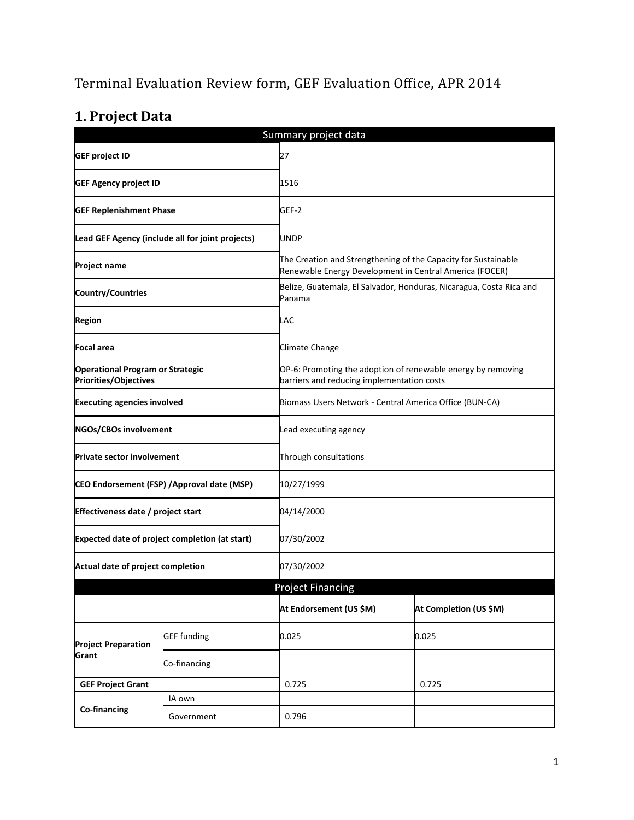# Terminal Evaluation Review form, GEF Evaluation Office, APR 2014

# **1. Project Data**

| Summary project data                                             |                                                  |                                                         |                                                                                                                           |  |  |
|------------------------------------------------------------------|--------------------------------------------------|---------------------------------------------------------|---------------------------------------------------------------------------------------------------------------------------|--|--|
| <b>GEF project ID</b>                                            |                                                  | 27                                                      |                                                                                                                           |  |  |
| <b>GEF Agency project ID</b>                                     |                                                  | 1516                                                    |                                                                                                                           |  |  |
| <b>GEF Replenishment Phase</b>                                   |                                                  | GEF-2                                                   |                                                                                                                           |  |  |
|                                                                  | Lead GEF Agency (include all for joint projects) | UNDP                                                    |                                                                                                                           |  |  |
| <b>Project name</b>                                              |                                                  |                                                         | The Creation and Strengthening of the Capacity for Sustainable<br>Renewable Energy Development in Central America (FOCER) |  |  |
| <b>Country/Countries</b>                                         |                                                  | Panama                                                  | Belize, Guatemala, El Salvador, Honduras, Nicaragua, Costa Rica and                                                       |  |  |
| <b>Region</b>                                                    |                                                  | LAC                                                     |                                                                                                                           |  |  |
| Focal area                                                       |                                                  | Climate Change                                          |                                                                                                                           |  |  |
| <b>Operational Program or Strategic</b><br>Priorities/Objectives |                                                  |                                                         | OP-6: Promoting the adoption of renewable energy by removing<br>barriers and reducing implementation costs                |  |  |
| <b>Executing agencies involved</b>                               |                                                  | Biomass Users Network - Central America Office (BUN-CA) |                                                                                                                           |  |  |
| NGOs/CBOs involvement                                            |                                                  | Lead executing agency                                   |                                                                                                                           |  |  |
| <b>Private sector involvement</b>                                |                                                  | Through consultations                                   |                                                                                                                           |  |  |
| CEO Endorsement (FSP) / Approval date (MSP)                      |                                                  | 10/27/1999                                              |                                                                                                                           |  |  |
| Effectiveness date / project start                               |                                                  | 04/14/2000                                              |                                                                                                                           |  |  |
| Expected date of project completion (at start)                   |                                                  | 07/30/2002                                              |                                                                                                                           |  |  |
| Actual date of project completion                                |                                                  | 07/30/2002                                              |                                                                                                                           |  |  |
|                                                                  |                                                  | <b>Project Financing</b>                                |                                                                                                                           |  |  |
|                                                                  |                                                  | At Endorsement (US \$M)                                 | At Completion (US \$M)                                                                                                    |  |  |
| <b>Project Preparation</b>                                       | <b>GEF</b> funding                               | 0.025                                                   | 0.025                                                                                                                     |  |  |
| Grant                                                            | Co-financing                                     |                                                         |                                                                                                                           |  |  |
| <b>GEF Project Grant</b>                                         |                                                  | 0.725                                                   | 0.725                                                                                                                     |  |  |
| Co-financing                                                     | IA own                                           |                                                         |                                                                                                                           |  |  |
|                                                                  | Government                                       | 0.796                                                   |                                                                                                                           |  |  |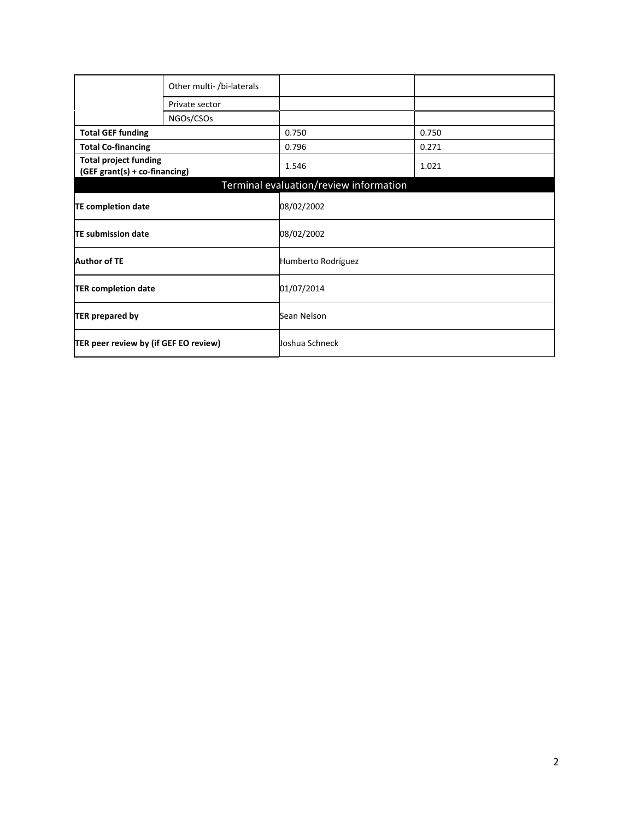|                                                               | Other multi- /bi-laterals |                                        |       |
|---------------------------------------------------------------|---------------------------|----------------------------------------|-------|
|                                                               | Private sector            |                                        |       |
|                                                               | NGOs/CSOs                 |                                        |       |
| <b>Total GEF funding</b>                                      |                           | 0.750                                  | 0.750 |
| <b>Total Co-financing</b>                                     |                           | 0.796                                  | 0.271 |
| <b>Total project funding</b><br>(GEF grant(s) + co-financing) |                           | 1.546                                  | 1.021 |
|                                                               |                           | Terminal evaluation/review information |       |
| <b>TE completion date</b>                                     |                           | 08/02/2002                             |       |
| <b>TE submission date</b>                                     |                           | 08/02/2002                             |       |
| <b>Author of TE</b>                                           |                           | Humberto Rodríguez                     |       |
| <b>TER completion date</b>                                    |                           | 01/07/2014                             |       |
| <b>TER prepared by</b>                                        |                           | Sean Nelson                            |       |
| TER peer review by (if GEF EO review)                         |                           | Joshua Schneck                         |       |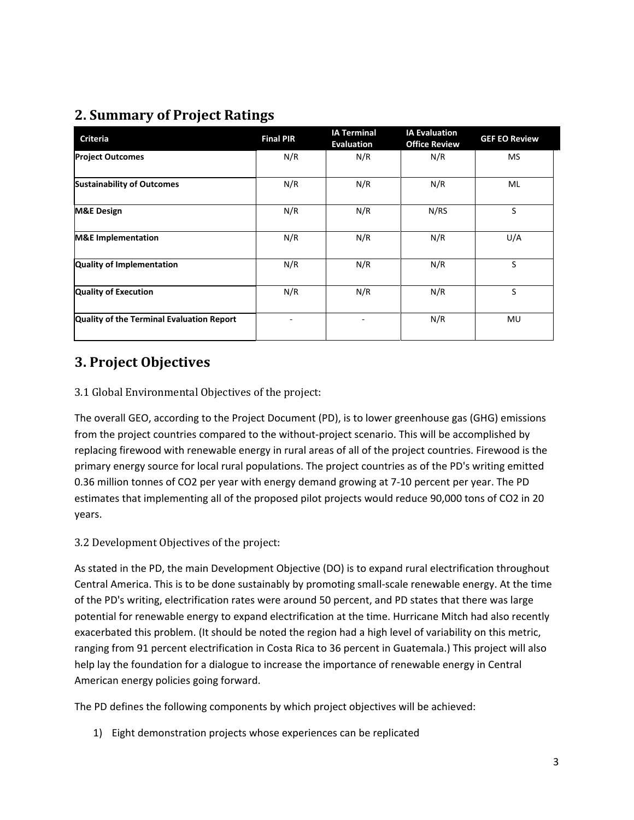## **2. Summary of Project Ratings**

| <b>Criteria</b>                           | <b>Final PIR</b> | <b>IA Terminal</b><br><b>Evaluation</b> | <b>IA Evaluation</b><br><b>Office Review</b> | <b>GEF EO Review</b> |
|-------------------------------------------|------------------|-----------------------------------------|----------------------------------------------|----------------------|
| <b>Project Outcomes</b>                   | N/R              | N/R                                     | N/R                                          | MS                   |
| <b>Sustainability of Outcomes</b>         | N/R              | N/R                                     | N/R                                          | ML                   |
| <b>M&amp;E Design</b>                     | N/R              | N/R                                     | N/RS                                         | S                    |
| <b>M&amp;E</b> Implementation             | N/R              | N/R                                     | N/R                                          | U/A                  |
| <b>Quality of Implementation</b>          | N/R              | N/R                                     | N/R                                          | S                    |
| <b>Quality of Execution</b>               | N/R              | N/R                                     | N/R                                          | S                    |
| Quality of the Terminal Evaluation Report |                  |                                         | N/R                                          | MU                   |

## **3. Project Objectives**

### 3.1 Global Environmental Objectives of the project:

The overall GEO, according to the Project Document (PD), is to lower greenhouse gas (GHG) emissions from the project countries compared to the without-project scenario. This will be accomplished by replacing firewood with renewable energy in rural areas of all of the project countries. Firewood is the primary energy source for local rural populations. The project countries as of the PD's writing emitted 0.36 million tonnes of CO2 per year with energy demand growing at 7-10 percent per year. The PD estimates that implementing all of the proposed pilot projects would reduce 90,000 tons of CO2 in 20 years.

#### 3.2 Development Objectives of the project:

As stated in the PD, the main Development Objective (DO) is to expand rural electrification throughout Central America. This is to be done sustainably by promoting small-scale renewable energy. At the time of the PD's writing, electrification rates were around 50 percent, and PD states that there was large potential for renewable energy to expand electrification at the time. Hurricane Mitch had also recently exacerbated this problem. (It should be noted the region had a high level of variability on this metric, ranging from 91 percent electrification in Costa Rica to 36 percent in Guatemala.) This project will also help lay the foundation for a dialogue to increase the importance of renewable energy in Central American energy policies going forward.

The PD defines the following components by which project objectives will be achieved:

1) Eight demonstration projects whose experiences can be replicated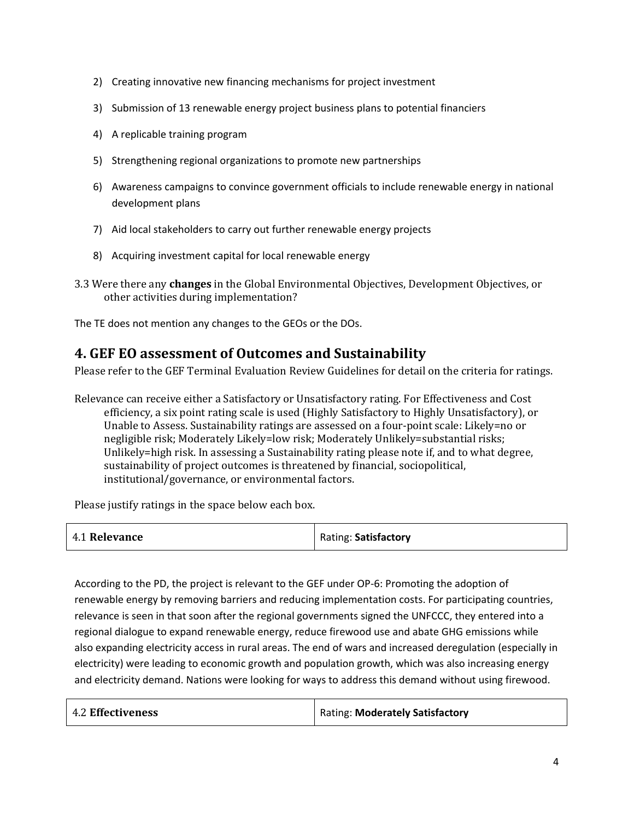- 2) Creating innovative new financing mechanisms for project investment
- 3) Submission of 13 renewable energy project business plans to potential financiers
- 4) A replicable training program
- 5) Strengthening regional organizations to promote new partnerships
- 6) Awareness campaigns to convince government officials to include renewable energy in national development plans
- 7) Aid local stakeholders to carry out further renewable energy projects
- 8) Acquiring investment capital for local renewable energy
- 3.3 Were there any **changes** in the Global Environmental Objectives, Development Objectives, or other activities during implementation?

The TE does not mention any changes to the GEOs or the DOs.

### **4. GEF EO assessment of Outcomes and Sustainability**

Please refer to the GEF Terminal Evaluation Review Guidelines for detail on the criteria for ratings.

Relevance can receive either a Satisfactory or Unsatisfactory rating. For Effectiveness and Cost efficiency, a six point rating scale is used (Highly Satisfactory to Highly Unsatisfactory), or Unable to Assess. Sustainability ratings are assessed on a four-point scale: Likely=no or negligible risk; Moderately Likely=low risk; Moderately Unlikely=substantial risks; Unlikely=high risk. In assessing a Sustainability rating please note if, and to what degree, sustainability of project outcomes is threatened by financial, sociopolitical, institutional/governance, or environmental factors.

Please justify ratings in the space below each box.

| 4.1 Relevance | Rating: Satisfactory |
|---------------|----------------------|
|---------------|----------------------|

According to the PD, the project is relevant to the GEF under OP-6: Promoting the adoption of renewable energy by removing barriers and reducing implementation costs. For participating countries, relevance is seen in that soon after the regional governments signed the UNFCCC, they entered into a regional dialogue to expand renewable energy, reduce firewood use and abate GHG emissions while also expanding electricity access in rural areas. The end of wars and increased deregulation (especially in electricity) were leading to economic growth and population growth, which was also increasing energy and electricity demand. Nations were looking for ways to address this demand without using firewood.

| <b>4.2 Effectiveness</b> | Rating: Moderately Satisfactory |
|--------------------------|---------------------------------|
|--------------------------|---------------------------------|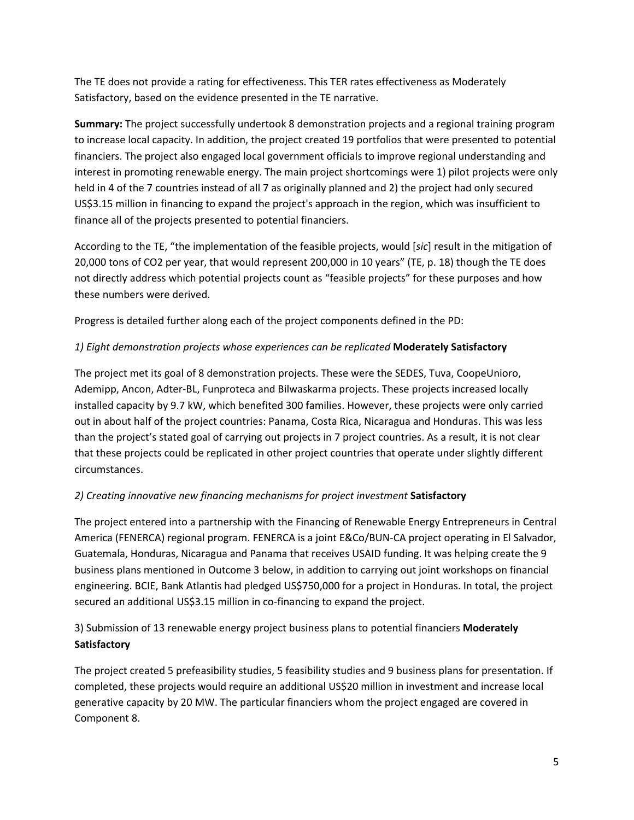The TE does not provide a rating for effectiveness. This TER rates effectiveness as Moderately Satisfactory, based on the evidence presented in the TE narrative.

**Summary:** The project successfully undertook 8 demonstration projects and a regional training program to increase local capacity. In addition, the project created 19 portfolios that were presented to potential financiers. The project also engaged local government officials to improve regional understanding and interest in promoting renewable energy. The main project shortcomings were 1) pilot projects were only held in 4 of the 7 countries instead of all 7 as originally planned and 2) the project had only secured US\$3.15 million in financing to expand the project's approach in the region, which was insufficient to finance all of the projects presented to potential financiers.

According to the TE, "the implementation of the feasible projects, would [*sic*] result in the mitigation of 20,000 tons of CO2 per year, that would represent 200,000 in 10 years" (TE, p. 18) though the TE does not directly address which potential projects count as "feasible projects" for these purposes and how these numbers were derived.

Progress is detailed further along each of the project components defined in the PD:

### *1) Eight demonstration projects whose experiences can be replicated* **Moderately Satisfactory**

The project met its goal of 8 demonstration projects. These were the SEDES, Tuva, CoopeUnioro, Ademipp, Ancon, Adter-BL, Funproteca and Bilwaskarma projects. These projects increased locally installed capacity by 9.7 kW, which benefited 300 families. However, these projects were only carried out in about half of the project countries: Panama, Costa Rica, Nicaragua and Honduras. This was less than the project's stated goal of carrying out projects in 7 project countries. As a result, it is not clear that these projects could be replicated in other project countries that operate under slightly different circumstances.

### *2) Creating innovative new financing mechanisms for project investment* **Satisfactory**

The project entered into a partnership with the Financing of Renewable Energy Entrepreneurs in Central America (FENERCA) regional program. FENERCA is a joint E&Co/BUN-CA project operating in El Salvador, Guatemala, Honduras, Nicaragua and Panama that receives USAID funding. It was helping create the 9 business plans mentioned in Outcome 3 below, in addition to carrying out joint workshops on financial engineering. BCIE, Bank Atlantis had pledged US\$750,000 for a project in Honduras. In total, the project secured an additional US\$3.15 million in co-financing to expand the project.

3) Submission of 13 renewable energy project business plans to potential financiers **Moderately Satisfactory**

The project created 5 prefeasibility studies, 5 feasibility studies and 9 business plans for presentation. If completed, these projects would require an additional US\$20 million in investment and increase local generative capacity by 20 MW. The particular financiers whom the project engaged are covered in Component 8.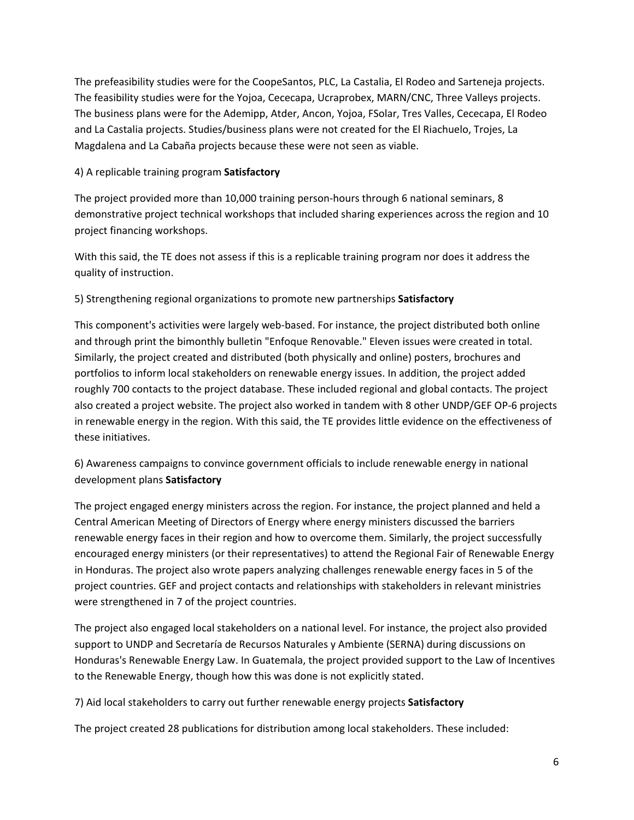The prefeasibility studies were for the CoopeSantos, PLC, La Castalia, El Rodeo and Sarteneja projects. The feasibility studies were for the Yojoa, Cececapa, Ucraprobex, MARN/CNC, Three Valleys projects. The business plans were for the Ademipp, Atder, Ancon, Yojoa, FSolar, Tres Valles, Cececapa, El Rodeo and La Castalia projects. Studies/business plans were not created for the El Riachuelo, Trojes, La Magdalena and La Cabaña projects because these were not seen as viable.

#### 4) A replicable training program **Satisfactory**

The project provided more than 10,000 training person-hours through 6 national seminars, 8 demonstrative project technical workshops that included sharing experiences across the region and 10 project financing workshops.

With this said, the TE does not assess if this is a replicable training program nor does it address the quality of instruction.

#### 5) Strengthening regional organizations to promote new partnerships **Satisfactory**

This component's activities were largely web-based. For instance, the project distributed both online and through print the bimonthly bulletin "Enfoque Renovable." Eleven issues were created in total. Similarly, the project created and distributed (both physically and online) posters, brochures and portfolios to inform local stakeholders on renewable energy issues. In addition, the project added roughly 700 contacts to the project database. These included regional and global contacts. The project also created a project website. The project also worked in tandem with 8 other UNDP/GEF OP-6 projects in renewable energy in the region. With this said, the TE provides little evidence on the effectiveness of these initiatives.

6) Awareness campaigns to convince government officials to include renewable energy in national development plans **Satisfactory**

The project engaged energy ministers across the region. For instance, the project planned and held a Central American Meeting of Directors of Energy where energy ministers discussed the barriers renewable energy faces in their region and how to overcome them. Similarly, the project successfully encouraged energy ministers (or their representatives) to attend the Regional Fair of Renewable Energy in Honduras. The project also wrote papers analyzing challenges renewable energy faces in 5 of the project countries. GEF and project contacts and relationships with stakeholders in relevant ministries were strengthened in 7 of the project countries.

The project also engaged local stakeholders on a national level. For instance, the project also provided support to UNDP and Secretaría de Recursos Naturales y Ambiente (SERNA) during discussions on Honduras's Renewable Energy Law. In Guatemala, the project provided support to the Law of Incentives to the Renewable Energy, though how this was done is not explicitly stated.

7) Aid local stakeholders to carry out further renewable energy projects **Satisfactory**

The project created 28 publications for distribution among local stakeholders. These included: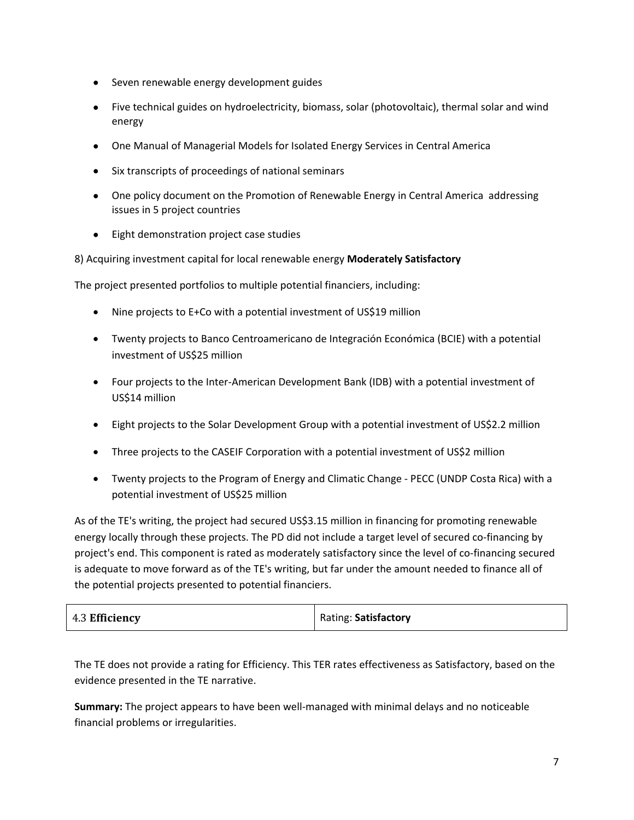- Seven renewable energy development guides
- Five technical guides on hydroelectricity, biomass, solar (photovoltaic), thermal solar and wind energy
- One Manual of Managerial Models for Isolated Energy Services in Central America
- Six transcripts of proceedings of national seminars
- One policy document on the Promotion of Renewable Energy in Central America addressing issues in 5 project countries
- Eight demonstration project case studies

8) Acquiring investment capital for local renewable energy **Moderately Satisfactory**

The project presented portfolios to multiple potential financiers, including:

- Nine projects to E+Co with a potential investment of US\$19 million
- Twenty projects to Banco Centroamericano de Integración Económica (BCIE) with a potential investment of US\$25 million
- Four projects to the Inter-American Development Bank (IDB) with a potential investment of US\$14 million
- Eight projects to the Solar Development Group with a potential investment of US\$2.2 million
- Three projects to the CASEIF Corporation with a potential investment of US\$2 million
- Twenty projects to the Program of Energy and Climatic Change PECC (UNDP Costa Rica) with a potential investment of US\$25 million

As of the TE's writing, the project had secured US\$3.15 million in financing for promoting renewable energy locally through these projects. The PD did not include a target level of secured co-financing by project's end. This component is rated as moderately satisfactory since the level of co-financing secured is adequate to move forward as of the TE's writing, but far under the amount needed to finance all of the potential projects presented to potential financiers.

| 4.3 Efficiency | Rating: Satisfactory |
|----------------|----------------------|
|----------------|----------------------|

The TE does not provide a rating for Efficiency. This TER rates effectiveness as Satisfactory, based on the evidence presented in the TE narrative.

**Summary:** The project appears to have been well-managed with minimal delays and no noticeable financial problems or irregularities.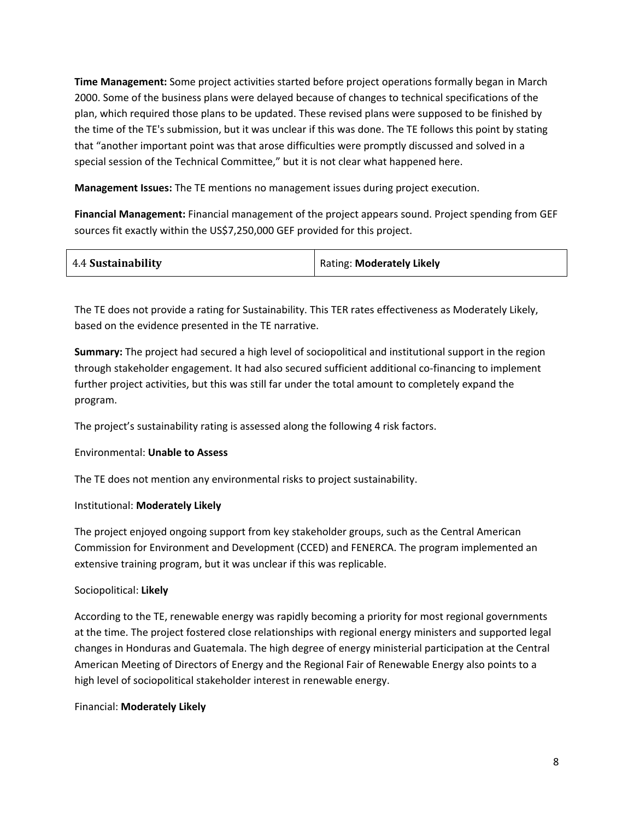**Time Management:** Some project activities started before project operations formally began in March 2000. Some of the business plans were delayed because of changes to technical specifications of the plan, which required those plans to be updated. These revised plans were supposed to be finished by the time of the TE's submission, but it was unclear if this was done. The TE follows this point by stating that "another important point was that arose difficulties were promptly discussed and solved in a special session of the Technical Committee," but it is not clear what happened here.

**Management Issues:** The TE mentions no management issues during project execution.

**Financial Management:** Financial management of the project appears sound. Project spending from GEF sources fit exactly within the US\$7,250,000 GEF provided for this project.

| 4.4 Sustainability | Rating: Moderately Likely |
|--------------------|---------------------------|
|                    |                           |

The TE does not provide a rating for Sustainability. This TER rates effectiveness as Moderately Likely, based on the evidence presented in the TE narrative.

**Summary:** The project had secured a high level of sociopolitical and institutional support in the region through stakeholder engagement. It had also secured sufficient additional co-financing to implement further project activities, but this was still far under the total amount to completely expand the program.

The project's sustainability rating is assessed along the following 4 risk factors.

#### Environmental: **Unable to Assess**

The TE does not mention any environmental risks to project sustainability.

#### Institutional: **Moderately Likely**

The project enjoyed ongoing support from key stakeholder groups, such as the Central American Commission for Environment and Development (CCED) and FENERCA. The program implemented an extensive training program, but it was unclear if this was replicable.

#### Sociopolitical: **Likely**

According to the TE, renewable energy was rapidly becoming a priority for most regional governments at the time. The project fostered close relationships with regional energy ministers and supported legal changes in Honduras and Guatemala. The high degree of energy ministerial participation at the Central American Meeting of Directors of Energy and the Regional Fair of Renewable Energy also points to a high level of sociopolitical stakeholder interest in renewable energy.

#### Financial: **Moderately Likely**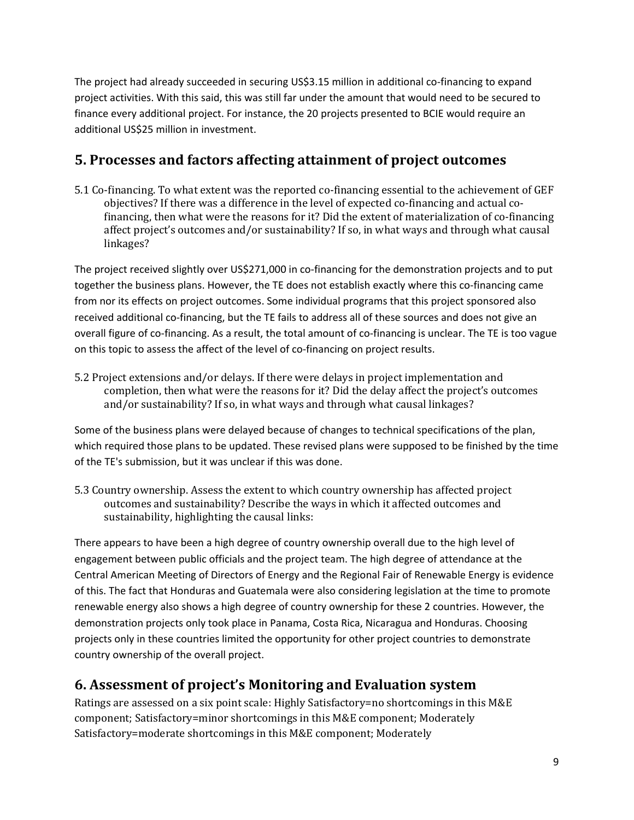The project had already succeeded in securing US\$3.15 million in additional co-financing to expand project activities. With this said, this was still far under the amount that would need to be secured to finance every additional project. For instance, the 20 projects presented to BCIE would require an additional US\$25 million in investment.

## **5. Processes and factors affecting attainment of project outcomes**

5.1 Co-financing. To what extent was the reported co-financing essential to the achievement of GEF objectives? If there was a difference in the level of expected co-financing and actual cofinancing, then what were the reasons for it? Did the extent of materialization of co-financing affect project's outcomes and/or sustainability? If so, in what ways and through what causal linkages?

The project received slightly over US\$271,000 in co-financing for the demonstration projects and to put together the business plans. However, the TE does not establish exactly where this co-financing came from nor its effects on project outcomes. Some individual programs that this project sponsored also received additional co-financing, but the TE fails to address all of these sources and does not give an overall figure of co-financing. As a result, the total amount of co-financing is unclear. The TE is too vague on this topic to assess the affect of the level of co-financing on project results.

5.2 Project extensions and/or delays. If there were delays in project implementation and completion, then what were the reasons for it? Did the delay affect the project's outcomes and/or sustainability? If so, in what ways and through what causal linkages?

Some of the business plans were delayed because of changes to technical specifications of the plan, which required those plans to be updated. These revised plans were supposed to be finished by the time of the TE's submission, but it was unclear if this was done.

5.3 Country ownership. Assess the extent to which country ownership has affected project outcomes and sustainability? Describe the ways in which it affected outcomes and sustainability, highlighting the causal links:

There appears to have been a high degree of country ownership overall due to the high level of engagement between public officials and the project team. The high degree of attendance at the Central American Meeting of Directors of Energy and the Regional Fair of Renewable Energy is evidence of this. The fact that Honduras and Guatemala were also considering legislation at the time to promote renewable energy also shows a high degree of country ownership for these 2 countries. However, the demonstration projects only took place in Panama, Costa Rica, Nicaragua and Honduras. Choosing projects only in these countries limited the opportunity for other project countries to demonstrate country ownership of the overall project.

## **6. Assessment of project's Monitoring and Evaluation system**

Ratings are assessed on a six point scale: Highly Satisfactory=no shortcomings in this M&E component; Satisfactory=minor shortcomings in this M&E component; Moderately Satisfactory=moderate shortcomings in this M&E component; Moderately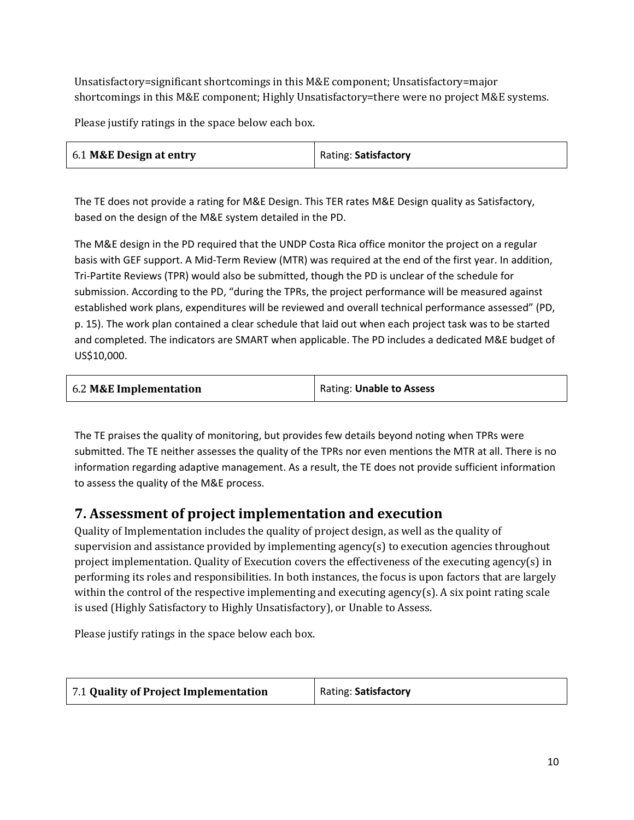Unsatisfactory=significant shortcomings in this M&E component; Unsatisfactory=major shortcomings in this M&E component; Highly Unsatisfactory=there were no project M&E systems.

Please justify ratings in the space below each box.

| 6.1 M&E Design at entry | Rating: Satisfactory |
|-------------------------|----------------------|
|-------------------------|----------------------|

The TE does not provide a rating for M&E Design. This TER rates M&E Design quality as Satisfactory, based on the design of the M&E system detailed in the PD.

The M&E design in the PD required that the UNDP Costa Rica office monitor the project on a regular basis with GEF support. A Mid-Term Review (MTR) was required at the end of the first year. In addition, Tri-Partite Reviews (TPR) would also be submitted, though the PD is unclear of the schedule for submission. According to the PD, "during the TPRs, the project performance will be measured against established work plans, expenditures will be reviewed and overall technical performance assessed" (PD, p. 15). The work plan contained a clear schedule that laid out when each project task was to be started and completed. The indicators are SMART when applicable. The PD includes a dedicated M&E budget of US\$10,000.

| 6.2 M&E Implementation | Rating: Unable to Assess |
|------------------------|--------------------------|
|------------------------|--------------------------|

The TE praises the quality of monitoring, but provides few details beyond noting when TPRs were submitted. The TE neither assesses the quality of the TPRs nor even mentions the MTR at all. There is no information regarding adaptive management. As a result, the TE does not provide sufficient information to assess the quality of the M&E process.

## **7. Assessment of project implementation and execution**

Quality of Implementation includes the quality of project design, as well as the quality of supervision and assistance provided by implementing agency(s) to execution agencies throughout project implementation. Quality of Execution covers the effectiveness of the executing agency(s) in performing its roles and responsibilities. In both instances, the focus is upon factors that are largely within the control of the respective implementing and executing agency(s). A six point rating scale is used (Highly Satisfactory to Highly Unsatisfactory), or Unable to Assess.

Please justify ratings in the space below each box.

| 7.1 Quality of Project Implementation | Rating: Satisfactory |
|---------------------------------------|----------------------|
|                                       |                      |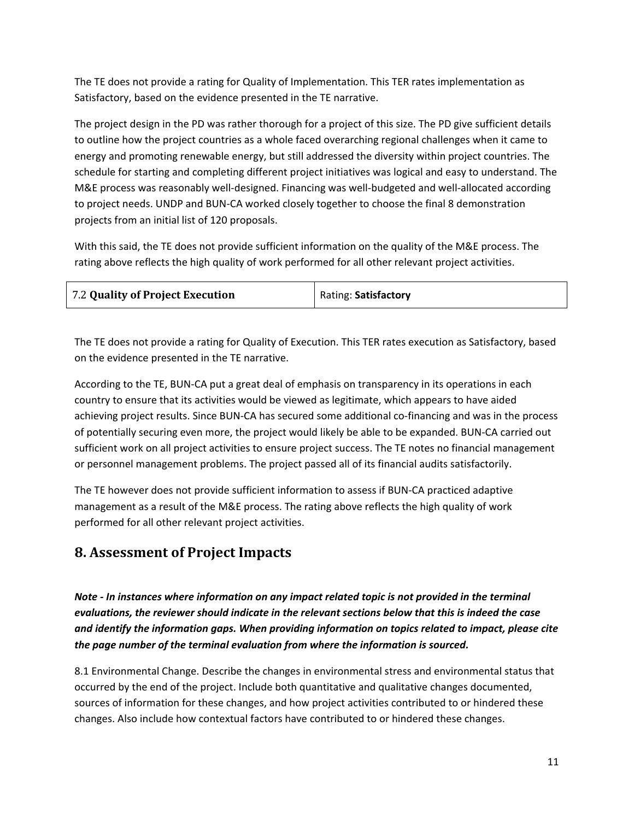The TE does not provide a rating for Quality of Implementation. This TER rates implementation as Satisfactory, based on the evidence presented in the TE narrative.

The project design in the PD was rather thorough for a project of this size. The PD give sufficient details to outline how the project countries as a whole faced overarching regional challenges when it came to energy and promoting renewable energy, but still addressed the diversity within project countries. The schedule for starting and completing different project initiatives was logical and easy to understand. The M&E process was reasonably well-designed. Financing was well-budgeted and well-allocated according to project needs. UNDP and BUN-CA worked closely together to choose the final 8 demonstration projects from an initial list of 120 proposals.

With this said, the TE does not provide sufficient information on the quality of the M&E process. The rating above reflects the high quality of work performed for all other relevant project activities.

The TE does not provide a rating for Quality of Execution. This TER rates execution as Satisfactory, based on the evidence presented in the TE narrative.

According to the TE, BUN-CA put a great deal of emphasis on transparency in its operations in each country to ensure that its activities would be viewed as legitimate, which appears to have aided achieving project results. Since BUN-CA has secured some additional co-financing and was in the process of potentially securing even more, the project would likely be able to be expanded. BUN-CA carried out sufficient work on all project activities to ensure project success. The TE notes no financial management or personnel management problems. The project passed all of its financial audits satisfactorily.

The TE however does not provide sufficient information to assess if BUN-CA practiced adaptive management as a result of the M&E process. The rating above reflects the high quality of work performed for all other relevant project activities.

## **8. Assessment of Project Impacts**

*Note - In instances where information on any impact related topic is not provided in the terminal evaluations, the reviewer should indicate in the relevant sections below that this is indeed the case and identify the information gaps. When providing information on topics related to impact, please cite the page number of the terminal evaluation from where the information is sourced.*

8.1 Environmental Change. Describe the changes in environmental stress and environmental status that occurred by the end of the project. Include both quantitative and qualitative changes documented, sources of information for these changes, and how project activities contributed to or hindered these changes. Also include how contextual factors have contributed to or hindered these changes.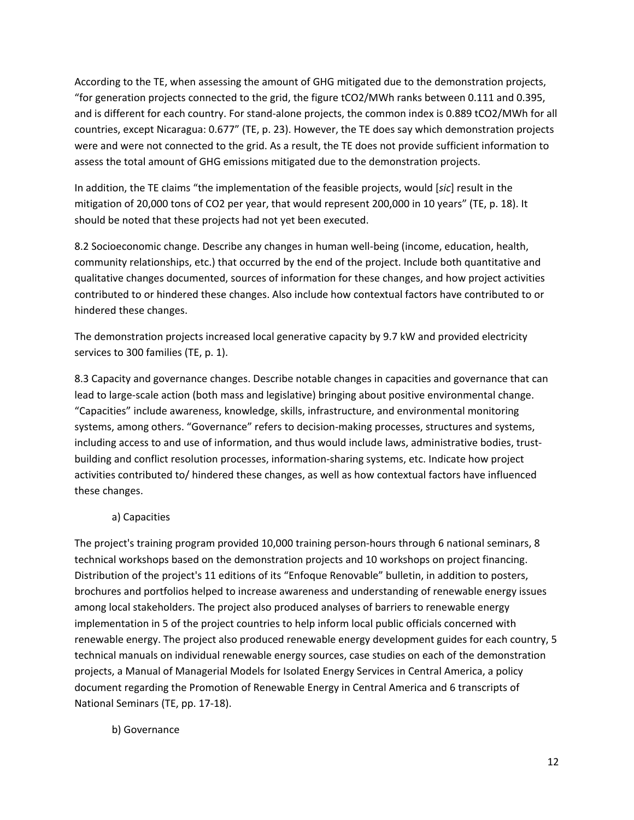According to the TE, when assessing the amount of GHG mitigated due to the demonstration projects, "for generation projects connected to the grid, the figure tCO2/MWh ranks between 0.111 and 0.395, and is different for each country. For stand-alone projects, the common index is 0.889 tCO2/MWh for all countries, except Nicaragua: 0.677" (TE, p. 23). However, the TE does say which demonstration projects were and were not connected to the grid. As a result, the TE does not provide sufficient information to assess the total amount of GHG emissions mitigated due to the demonstration projects.

In addition, the TE claims "the implementation of the feasible projects, would [*sic*] result in the mitigation of 20,000 tons of CO2 per year, that would represent 200,000 in 10 years" (TE, p. 18). It should be noted that these projects had not yet been executed.

8.2 Socioeconomic change. Describe any changes in human well-being (income, education, health, community relationships, etc.) that occurred by the end of the project. Include both quantitative and qualitative changes documented, sources of information for these changes, and how project activities contributed to or hindered these changes. Also include how contextual factors have contributed to or hindered these changes.

The demonstration projects increased local generative capacity by 9.7 kW and provided electricity services to 300 families (TE, p. 1).

8.3 Capacity and governance changes. Describe notable changes in capacities and governance that can lead to large-scale action (both mass and legislative) bringing about positive environmental change. "Capacities" include awareness, knowledge, skills, infrastructure, and environmental monitoring systems, among others. "Governance" refers to decision-making processes, structures and systems, including access to and use of information, and thus would include laws, administrative bodies, trustbuilding and conflict resolution processes, information-sharing systems, etc. Indicate how project activities contributed to/ hindered these changes, as well as how contextual factors have influenced these changes.

#### a) Capacities

The project's training program provided 10,000 training person-hours through 6 national seminars, 8 technical workshops based on the demonstration projects and 10 workshops on project financing. Distribution of the project's 11 editions of its "Enfoque Renovable" bulletin, in addition to posters, brochures and portfolios helped to increase awareness and understanding of renewable energy issues among local stakeholders. The project also produced analyses of barriers to renewable energy implementation in 5 of the project countries to help inform local public officials concerned with renewable energy. The project also produced renewable energy development guides for each country, 5 technical manuals on individual renewable energy sources, case studies on each of the demonstration projects, a Manual of Managerial Models for Isolated Energy Services in Central America, a policy document regarding the Promotion of Renewable Energy in Central America and 6 transcripts of National Seminars (TE, pp. 17-18).

b) Governance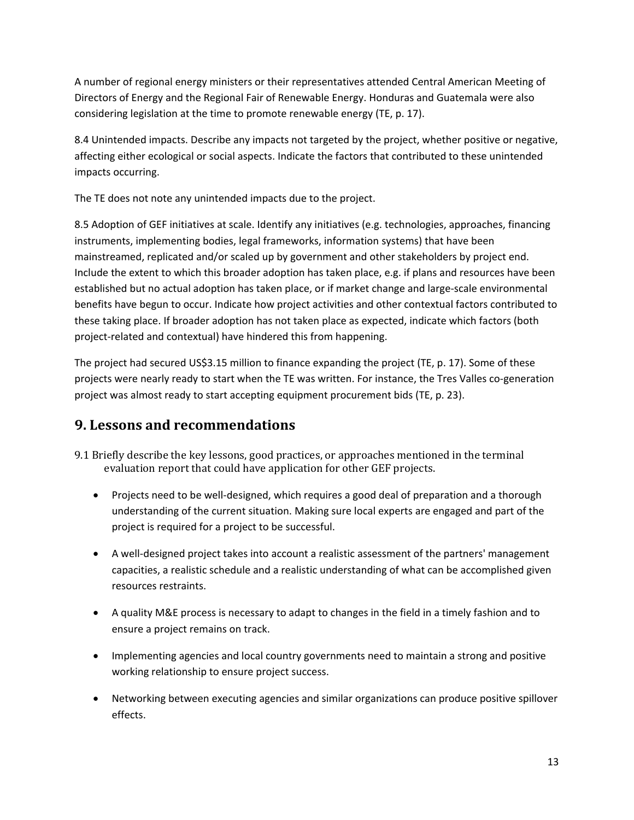A number of regional energy ministers or their representatives attended Central American Meeting of Directors of Energy and the Regional Fair of Renewable Energy. Honduras and Guatemala were also considering legislation at the time to promote renewable energy (TE, p. 17).

8.4 Unintended impacts. Describe any impacts not targeted by the project, whether positive or negative, affecting either ecological or social aspects. Indicate the factors that contributed to these unintended impacts occurring.

The TE does not note any unintended impacts due to the project.

8.5 Adoption of GEF initiatives at scale. Identify any initiatives (e.g. technologies, approaches, financing instruments, implementing bodies, legal frameworks, information systems) that have been mainstreamed, replicated and/or scaled up by government and other stakeholders by project end. Include the extent to which this broader adoption has taken place, e.g. if plans and resources have been established but no actual adoption has taken place, or if market change and large-scale environmental benefits have begun to occur. Indicate how project activities and other contextual factors contributed to these taking place. If broader adoption has not taken place as expected, indicate which factors (both project-related and contextual) have hindered this from happening.

The project had secured US\$3.15 million to finance expanding the project (TE, p. 17). Some of these projects were nearly ready to start when the TE was written. For instance, the Tres Valles co-generation project was almost ready to start accepting equipment procurement bids (TE, p. 23).

## **9. Lessons and recommendations**

- 9.1 Briefly describe the key lessons, good practices, or approaches mentioned in the terminal evaluation report that could have application for other GEF projects.
	- Projects need to be well-designed, which requires a good deal of preparation and a thorough understanding of the current situation. Making sure local experts are engaged and part of the project is required for a project to be successful.
	- A well-designed project takes into account a realistic assessment of the partners' management capacities, a realistic schedule and a realistic understanding of what can be accomplished given resources restraints.
	- A quality M&E process is necessary to adapt to changes in the field in a timely fashion and to ensure a project remains on track.
	- Implementing agencies and local country governments need to maintain a strong and positive working relationship to ensure project success.
	- Networking between executing agencies and similar organizations can produce positive spillover effects.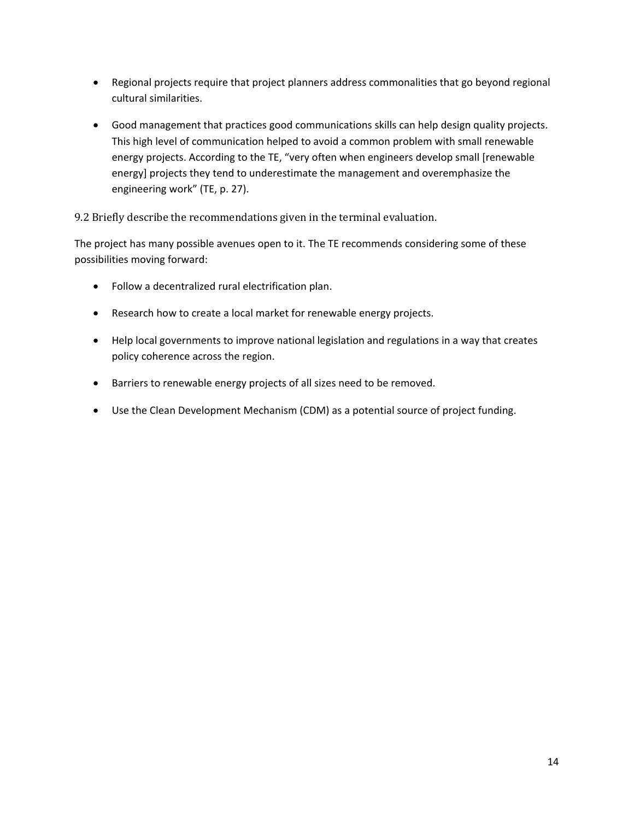- Regional projects require that project planners address commonalities that go beyond regional cultural similarities.
- Good management that practices good communications skills can help design quality projects. This high level of communication helped to avoid a common problem with small renewable energy projects. According to the TE, "very often when engineers develop small [renewable energy] projects they tend to underestimate the management and overemphasize the engineering work" (TE, p. 27).

### 9.2 Briefly describe the recommendations given in the terminal evaluation.

The project has many possible avenues open to it. The TE recommends considering some of these possibilities moving forward:

- Follow a decentralized rural electrification plan.
- Research how to create a local market for renewable energy projects.
- Help local governments to improve national legislation and regulations in a way that creates policy coherence across the region.
- Barriers to renewable energy projects of all sizes need to be removed.
- Use the Clean Development Mechanism (CDM) as a potential source of project funding.